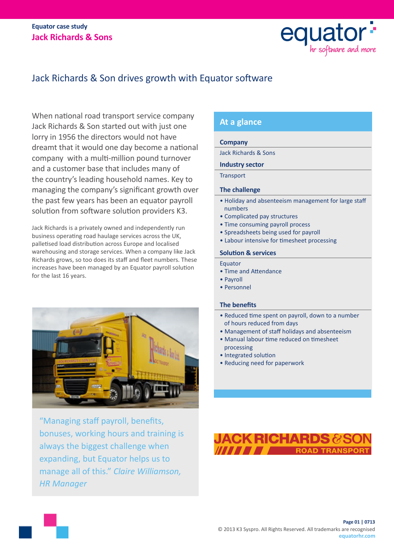### **Equator case study Jack Richards & Sons**



## Jack Richards & Son drives growth with Equator software

When national road transport service company Jack Richards & Son started out with just one lorry in 1956 the directors would not have dreamt that it would one day become a national company with a multi-million pound turnover and a customer base that includes many of the country's leading household names. Key to managing the company's significant growth over the past few years has been an equator payroll solution from software solution providers K3.

Jack Richards is a privately owned and independently run business operating road haulage services across the UK, palletised load distribution across Europe and localised warehousing and storage services. When a company like Jack Richards grows, so too does its staff and fleet numbers. These increases have been managed by an Equator payroll solution for the last 16 years.



"Managing staff payroll, benefits, bonuses, working hours and training is always the biggest challenge when expanding, but Equator helps us to manage all of this." *Claire Williamson, HR Manager*

### **At a glance**

#### **Company**

Jack Richards & Sons

#### **Industry sector**

**Transport** 

#### **The challenge**

- Holiday and absenteeism management for large staff numbers
- Complicated pay structures
- Time consuming payroll process
- Spreadsheets being used for payroll
- Labour intensive for timesheet processing

#### **Solution & services**

- Equator
- Time and Attendance
- Payroll
- Personnel

#### **The benefits**

- Reduced time spent on payroll, down to a number of hours reduced from days
- Management of staff holidays and absenteeism
- Manual labour time reduced on timesheet processing
- Integrated solution
- Reducing need for paperwork

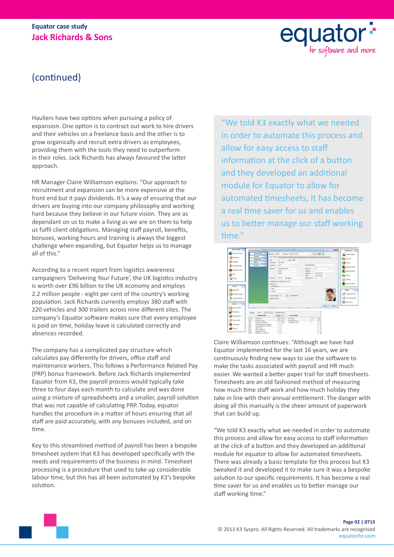### **Equator case study Jack Richards & Sons**



# (continued)

Hauliers have two options when pursuing a policy of expansion. One option is to contract out work to hire drivers and their vehicles on a freelance basis and the other is to grow organically and recruit extra drivers as employees, providing them with the tools they need to outperform in their roles. Jack Richards has always favoured the latter approach.

HR Manager Claire Williamson explains: "Our approach to recruitment and expansion can be more expensive at the front end but it pays dividends. It's a way of ensuring that our drivers are buying into our company philosophy and working hard because they believe in our future vision. They are as dependant on us to make a living as we are on them to help us fulfil client obligations. Managing staff payroll, benefits, bonuses, working hours and training is always the biggest challenge when expanding, but Equator helps us to manage all of this."

According to a recent report from logistics awareness campaigners 'Delivering Your Future', the UK logistics industry is worth over £96 billion to the UK economy and employs 2.2 million people - eight per cent of the country's working population. Jack Richards currently employs 380 staff with 220 vehicles and 300 trailers across nine different sites. The company's Equator software makes sure that every employee is paid on time, holiday leave is calculated correctly and absences recorded.

The company has a complicated pay structure which calculates pay differently for drivers, office staff and maintenance workers. This follows a Performance Related Pay (PRP) bonus framework. Before Jack Richards implemented Equator from K3, the payroll process would typically take three to four days each month to calculate and was done using a mixture of spreadsheets and a smaller, payroll solution that was not capable of calculating PRP. Today, equator handles the procedure in a matter of hours ensuring that all staff are paid accurately, with any bonuses included, and on time.

Key to this streamlined method of payroll has been a bespoke timesheet system that K3 has developed specifically with the needs and requirements of the business in mind. Timesheet processing is a procedure that used to take up considerable labour time, but this has all been automated by K3's bespoke solution.

"We told K3 exactly what we needed in order to automate this process and allow for easy access to staff information at the click of a button and they developed an additional module for Equator to allow for automated timesheets, It has become a real time saver for us and enables us to better manage our staff working time."



Claire Williamson continues: "Although we have had Equator implemented for the last 16 years, we are continuously finding new ways to use the software to make the tasks associated with payroll and HR much easier. We wanted a better paper trail for staff timesheets. Timesheets are an old fashioned method of measuring how much time staff work and how much holiday they take in line with their annual entitlement. The danger with doing all this manually is the sheer amount of paperwork that can build up.

"We told K3 exactly what we needed in order to automate this process and allow for easy access to staff information at the click of a button and they developed an additional module for equator to allow for automated timesheets. There was already a basic template for this process but K3 tweaked it and developed it to make sure it was a bespoke solution to our specific requirements. It has become a real time saver for us and enables us to better manage our staff working time."